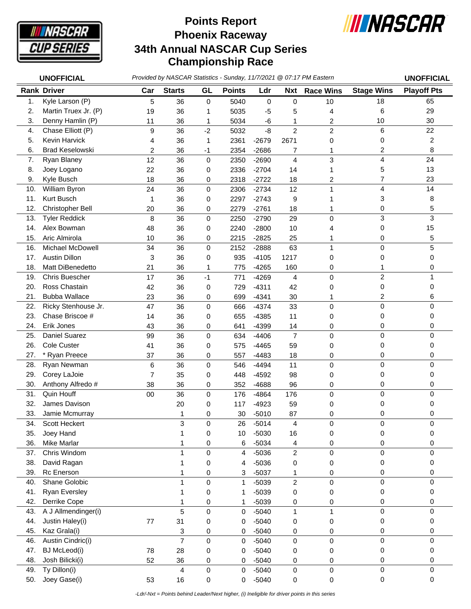

## **Phoenix Raceway 34th Annual NASCAR Cup Series Championship Race Points Report**



|     | <b>UNOFFICIAL</b>       |                |                |             |               |             |                | Provided by NASCAR Statistics - Sunday, 11/7/2021 @ 07:17 PM Eastern |                   | <b>UNOFFICIAL</b>  |
|-----|-------------------------|----------------|----------------|-------------|---------------|-------------|----------------|----------------------------------------------------------------------|-------------------|--------------------|
|     | <b>Rank Driver</b>      | Car            | <b>Starts</b>  | GL          | <b>Points</b> | Ldr         | <b>Nxt</b>     | <b>Race Wins</b>                                                     | <b>Stage Wins</b> | <b>Playoff Pts</b> |
| 1.  | Kyle Larson (P)         | 5              | 36             | $\mathbf 0$ | 5040          | $\mathbf 0$ | $\mathbf 0$    | 10                                                                   | 18                | 65                 |
| 2.  | Martin Truex Jr. (P)    | 19             | 36             | 1           | 5035          | $-5$        | 5              | 4                                                                    | 6                 | 29                 |
| 3.  | Denny Hamlin (P)        | 11             | 36             | 1           | 5034          | -6          | 1              | 2                                                                    | 10                | 30                 |
| 4.  | Chase Elliott (P)       | 9              | 36             | $-2$        | 5032          | $-8$        | $\overline{2}$ | $\overline{2}$                                                       | 6                 | 22                 |
| 5.  | Kevin Harvick           | 4              | 36             | 1           | 2361          | $-2679$     | 2671           | 0                                                                    | 0                 | $\overline{c}$     |
| 6.  | <b>Brad Keselowski</b>  | $\overline{c}$ | 36             | $-1$        | 2354          | $-2686$     | 7              | 1                                                                    | $\overline{c}$    | 8                  |
| 7.  | Ryan Blaney             | 12             | 36             | 0           | 2350          | $-2690$     | $\overline{4}$ | 3                                                                    | 4                 | 24                 |
| 8.  | Joey Logano             | 22             | 36             | 0           | 2336          | $-2704$     | 14             | 1                                                                    | 5                 | 13                 |
| 9.  | Kyle Busch              | 18             | 36             | 0           | 2318          | $-2722$     | 18             | 2                                                                    | $\overline{7}$    | 23                 |
| 10. | William Byron           | 24             | 36             | 0           | 2306          | $-2734$     | 12             | 1                                                                    | 4                 | 14                 |
| 11. | Kurt Busch              | 1              | 36             | 0           | 2297          | $-2743$     | 9              | 1                                                                    | 3                 | 8                  |
| 12. | Christopher Bell        | 20             | 36             | 0           | 2279          | $-2761$     | 18             | 1                                                                    | 0                 | 5                  |
| 13. | <b>Tyler Reddick</b>    | 8              | 36             | 0           | 2250          | $-2790$     | 29             | 0                                                                    | 3                 | 3                  |
| 14. | Alex Bowman             | 48             | 36             | 0           | 2240          | $-2800$     | 10             | 4                                                                    | 0                 | 15                 |
| 15. | Aric Almirola           | 10             | 36             | 0           | 2215          | $-2825$     | 25             | 1                                                                    | 0                 | 5                  |
| 16. | <b>Michael McDowell</b> | 34             | 36             | 0           | 2152          | $-2888$     | 63             | 1                                                                    | $\Omega$          | 5                  |
| 17. | <b>Austin Dillon</b>    | 3              | 36             | 0           | 935           | $-4105$     | 1217           | 0                                                                    | 0                 | 0                  |
| 18. | Matt DiBenedetto        | 21             | 36             | 1           | 775           | $-4265$     | 160            | 0                                                                    | 1                 | 0                  |
| 19. | <b>Chris Buescher</b>   | 17             | 36             | $-1$        | 771           | $-4269$     | $\overline{4}$ | 0                                                                    | $\overline{2}$    | 1                  |
| 20. | Ross Chastain           | 42             | 36             | 0           | 729           | $-4311$     | 42             | 0                                                                    | 0                 | 0                  |
| 21. | <b>Bubba Wallace</b>    | 23             | 36             | 0           | 699           | $-4341$     | 30             | 1                                                                    | 2                 | 6                  |
| 22. | Ricky Stenhouse Jr.     | 47             | 36             | 0           | 666           | $-4374$     | 33             | 0                                                                    | $\mathbf 0$       | $\mathbf 0$        |
| 23. | Chase Briscoe #         | 14             | 36             | 0           | 655           | $-4385$     | 11             | 0                                                                    | 0                 | 0                  |
| 24. | Erik Jones              | 43             | 36             | 0           | 641           | $-4399$     | 14             | 0                                                                    | 0                 | 0                  |
| 25. | Daniel Suarez           | 99             | 36             | 0           | 634           | $-4406$     | $\overline{7}$ | 0                                                                    | $\mathbf 0$       | 0                  |
| 26. | <b>Cole Custer</b>      | 41             | 36             | 0           | 575           | $-4465$     | 59             | 0                                                                    | 0                 | 0                  |
| 27. | * Ryan Preece           | 37             | 36             | 0           | 557           | $-4483$     | 18             | 0                                                                    | 0                 | 0                  |
| 28. | Ryan Newman             | 6              | 36             | 0           | 546           | $-4494$     | 11             | 0                                                                    | $\mathbf 0$       | 0                  |
| 29. | Corey LaJoie            | $\overline{7}$ | 35             | 0           | 448           | $-4592$     | 98             | 0                                                                    | 0                 | 0                  |
| 30. | Anthony Alfredo #       | 38             | 36             | 0           | 352           | $-4688$     | 96             | 0                                                                    | 0                 | 0                  |
| 31. | Quin Houff              | 00             | 36             | 0           | 176           | $-4864$     | 176            | 0                                                                    | $\mathbf 0$       | $\mathbf 0$        |
| 32. | James Davison           |                | 20             | 0           | 117           | $-4923$     | 59             | 0                                                                    | 0                 | 0                  |
| 33. | Jamie Mcmurray          |                | 1              | 0           | 30            | $-5010$     | 87             | 0                                                                    | 0                 | 0                  |
| 34. | Scott Heckert           |                | 3              | 0           | 26            | $-5014$     | 4              | 0                                                                    | 0                 | 0                  |
| 35. | Joey Hand               |                | 1              | 0           | 10            | $-5030$     | 16             | 0                                                                    | 0                 | 0                  |
| 36. | <b>Mike Marlar</b>      |                |                | 0           | 6             | $-5034$     | 4              | 0                                                                    | 0                 | 0                  |
| 37. | Chris Windom            |                | 1              | 0           | 4             | $-5036$     | $\overline{c}$ | 0                                                                    | $\mathbf 0$       | 0                  |
| 38. | David Ragan             |                |                | 0           | 4             | $-5036$     | 0              | 0                                                                    | 0                 | 0                  |
| 39. | Rc Enerson              |                |                | 0           | 3             | $-5037$     | 1              | 0                                                                    | 0                 | 0                  |
| 40. | Shane Golobic           |                | 1              | 0           | 1             | $-5039$     | $\overline{2}$ | 0                                                                    | $\mathbf 0$       | 0                  |
| 41. | <b>Ryan Eversley</b>    |                | 1              | 0           | 1             | $-5039$     | 0              | 0                                                                    | 0                 | 0                  |
| 42. | Derrike Cope            |                | 1              | 0           | 1             | $-5039$     | 0              | 0                                                                    | 0                 | 0                  |
| 43. | A J Allmendinger(i)     |                | 5              | 0           | 0             | $-5040$     | $\mathbf{1}$   | $\mathbf{1}$                                                         | $\mathbf 0$       | $\mathbf 0$        |
| 44. | Justin Haley(i)         | 77             | 31             | 0           | 0             | $-5040$     | 0              | 0                                                                    | 0                 | 0                  |
| 45. | Kaz Grala(i)            |                | 3              | 0           | 0             | $-5040$     | 0              | 0                                                                    | 0                 | 0                  |
| 46. | Austin Cindric(i)       |                | $\overline{7}$ | 0           | 0             | $-5040$     | $\pmb{0}$      | 0                                                                    | $\mathbf 0$       | 0                  |
| 47. | <b>BJ</b> McLeod(i)     | 78             | 28             | 0           | 0             | $-5040$     | 0              | 0                                                                    | 0                 | 0                  |
| 48. | Josh Bilicki(i)         | 52             | 36             | 0           | 0             | $-5040$     | 0              | 0                                                                    | 0                 | 0                  |
| 49. | Ty Dillon(i)            |                | 4              | 0           | 0             | $-5040$     | 0              | 0                                                                    | $\mathbf 0$       | 0                  |
| 50. | Joey Gase(i)            | 53             | 16             | 0           | 0             | $-5040$     | 0              | 0                                                                    | 0                 | 0                  |